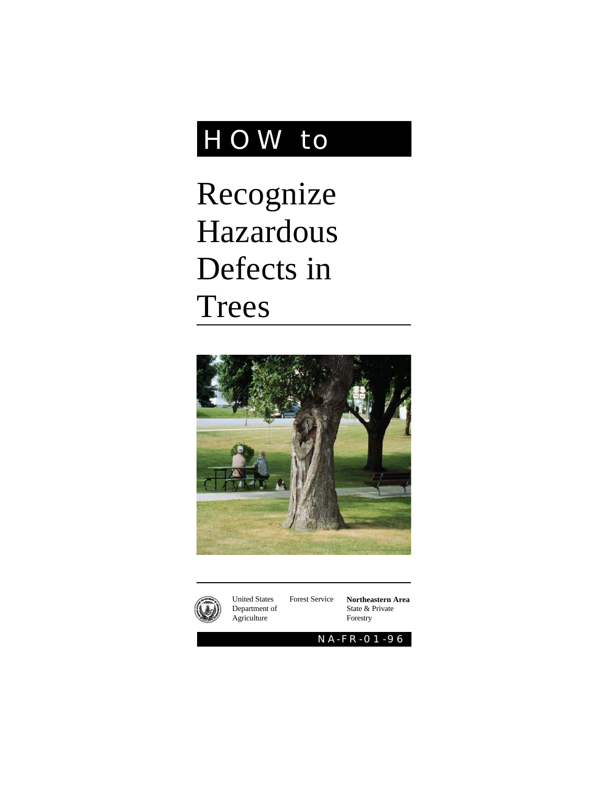# HOW to

Recognize Hazardous Defects in Trees





United States Forest Service Department of Agriculture

**Northeastern Area** State & Private Forestry

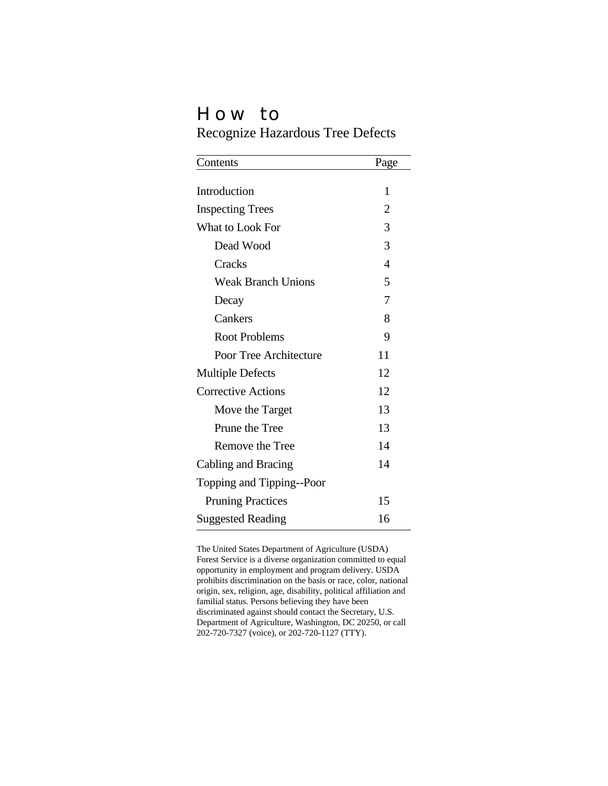## How to

Recognize Hazardous Tree Defects

| Contents                  | Page           |
|---------------------------|----------------|
|                           |                |
| Introduction              | 1              |
| <b>Inspecting Trees</b>   | $\overline{2}$ |
| What to Look For          | 3              |
| Dead Wood                 | 3              |
| Cracks                    | 4              |
| <b>Weak Branch Unions</b> | 5              |
| Decay                     | 7              |
| Cankers                   | 8              |
| <b>Root Problems</b>      | 9              |
| Poor Tree Architecture    | 11             |
| <b>Multiple Defects</b>   | 12             |
| <b>Corrective Actions</b> | 12             |
| Move the Target           | 13             |
| Prune the Tree            | 13             |
| Remove the Tree           | 14             |
| Cabling and Bracing       | 14             |
| Topping and Tipping--Poor |                |
| <b>Pruning Practices</b>  | 15             |
| <b>Suggested Reading</b>  | 16             |

The United States Department of Agriculture (USDA) Forest Service is a diverse organization committed to equal opportunity in employment and program delivery. USDA prohibits discrimination on the basis or race, color, national origin, sex, religion, age, disability, political affiliation and familial status. Persons believing they have been discriminated against should contact the Secretary, U.S. Department of Agriculture, Washington, DC 20250, or call 202-720-7327 (voice), or 202-720-1127 (TTY).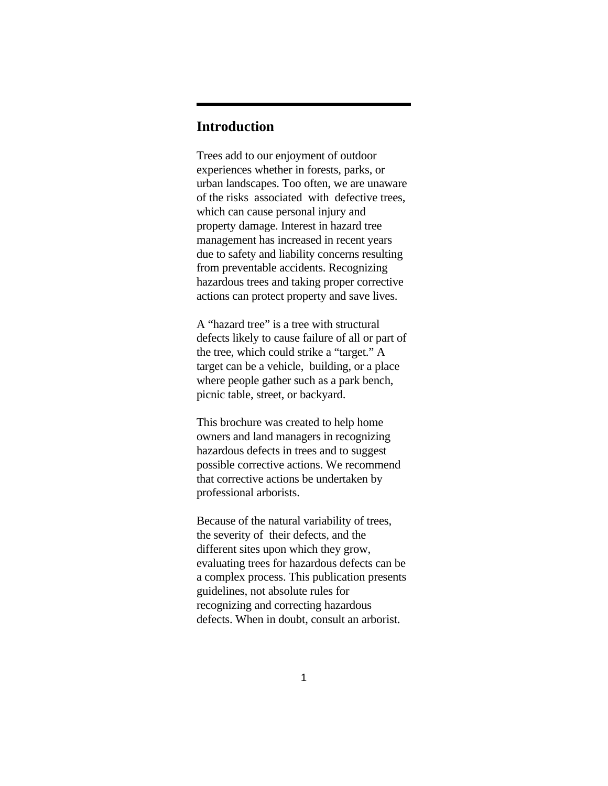## **Introduction**

Trees add to our enjoyment of outdoor experiences whether in forests, parks, or urban landscapes. Too often, we are unaware of the risks associated with defective trees, which can cause personal injury and property damage. Interest in hazard tree management has increased in recent years due to safety and liability concerns resulting from preventable accidents. Recognizing hazardous trees and taking proper corrective actions can protect property and save lives.

A "hazard tree" is a tree with structural defects likely to cause failure of all or part of the tree, which could strike a "target." A target can be a vehicle, building, or a place where people gather such as a park bench, picnic table, street, or backyard.

This brochure was created to help home owners and land managers in recognizing hazardous defects in trees and to suggest possible corrective actions. We recommend that corrective actions be undertaken by professional arborists.

Because of the natural variability of trees, the severity of their defects, and the different sites upon which they grow, evaluating trees for hazardous defects can be a complex process. This publication presents guidelines, not absolute rules for recognizing and correcting hazardous defects. When in doubt, consult an arborist.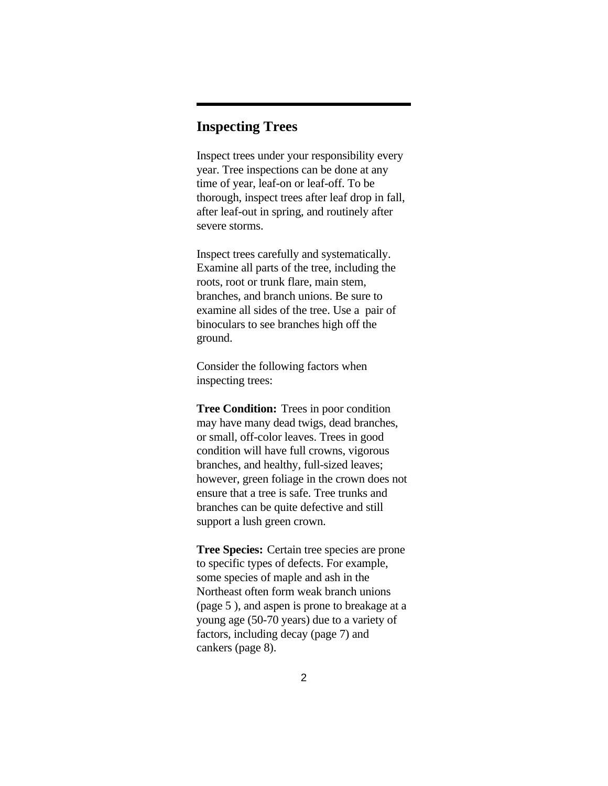## **Inspecting Trees**

Inspect trees under your responsibility every year. Tree inspections can be done at any time of year, leaf-on or leaf-off. To be thorough, inspect trees after leaf drop in fall, after leaf-out in spring, and routinely after severe storms.

Inspect trees carefully and systematically. Examine all parts of the tree, including the roots, root or trunk flare, main stem, branches, and branch unions. Be sure to examine all sides of the tree. Use a pair of binoculars to see branches high off the ground.

Consider the following factors when inspecting trees:

**Tree Condition:** Trees in poor condition may have many dead twigs, dead branches, or small, off-color leaves. Trees in good condition will have full crowns, vigorous branches, and healthy, full-sized leaves; however, green foliage in the crown does not ensure that a tree is safe. Tree trunks and branches can be quite defective and still support a lush green crown.

**Tree Species:** Certain tree species are prone to specific types of defects. For example, some species of maple and ash in the Northeast often form weak branch unions (page 5 ), and aspen is prone to breakage at a young age (50-70 years) due to a variety of factors, including decay (page 7) and cankers (page 8).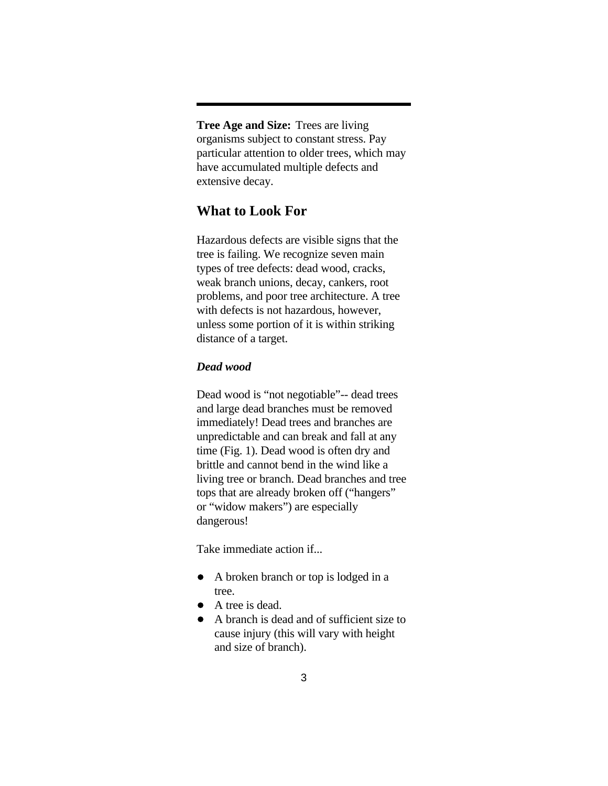**Tree Age and Size:** Trees are living organisms subject to constant stress. Pay particular attention to older trees, which may have accumulated multiple defects and extensive decay.

## **What to Look For**

Hazardous defects are visible signs that the tree is failing. We recognize seven main types of tree defects: dead wood, cracks, weak branch unions, decay, cankers, root problems, and poor tree architecture. A tree with defects is not hazardous, however, unless some portion of it is within striking distance of a target.

#### *Dead wood*

Dead wood is "not negotiable"-- dead trees and large dead branches must be removed immediately! Dead trees and branches are unpredictable and can break and fall at any time (Fig. 1). Dead wood is often dry and brittle and cannot bend in the wind like a living tree or branch. Dead branches and tree tops that are already broken off ("hangers" or "widow makers") are especially dangerous!

Take immediate action if...

- A broken branch or top is lodged in a tree.
- A tree is dead.
- A branch is dead and of sufficient size to cause injury (this will vary with height and size of branch).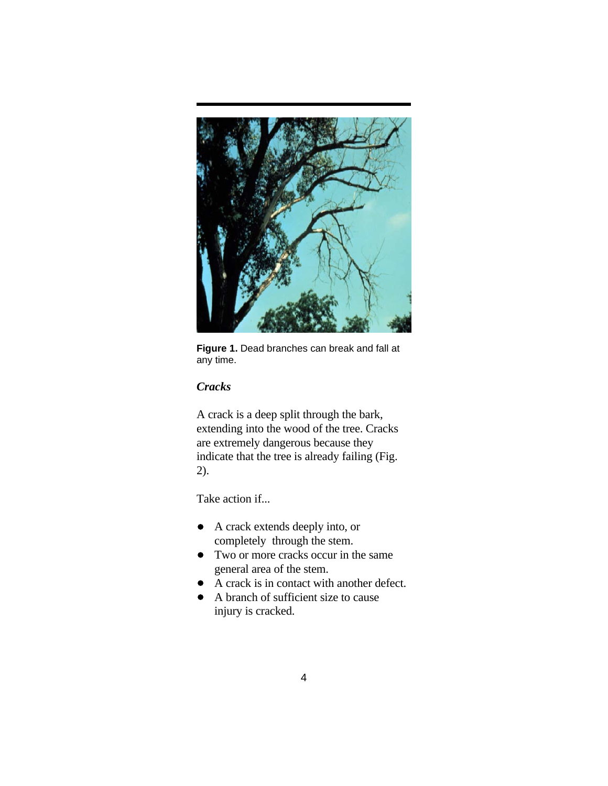

**Figure 1.** Dead branches can break and fall at any time.

## *Cracks*

A crack is a deep split through the bark, extending into the wood of the tree. Cracks are extremely dangerous because they indicate that the tree is already failing (Fig. 2).

Take action if...

- A crack extends deeply into, or completely through the stem.
- Two or more cracks occur in the same general area of the stem.
- A crack is in contact with another defect.
- A branch of sufficient size to cause injury is cracked.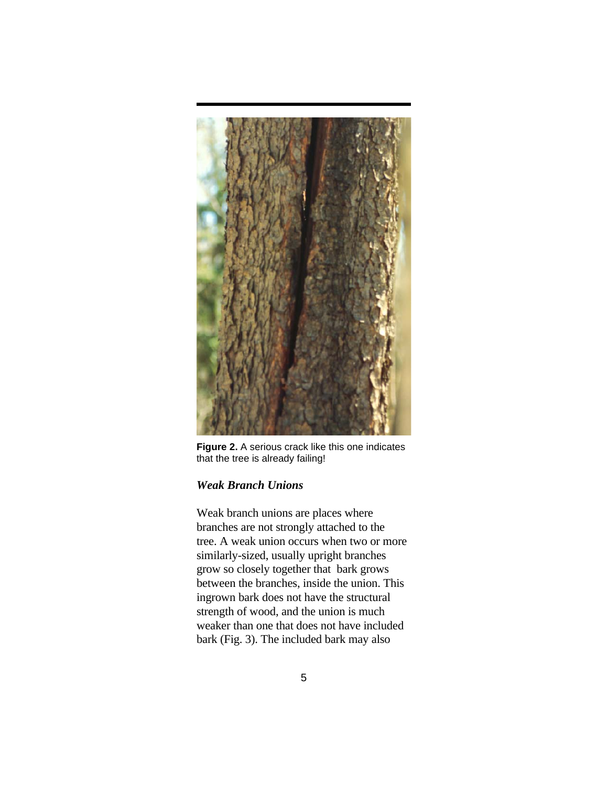

**Figure 2.** A serious crack like this one indicates that the tree is already failing!

## *Weak Branch Unions*

Weak branch unions are places where branches are not strongly attached to the tree. A weak union occurs when two or more similarly-sized, usually upright branches grow so closely together that bark grows between the branches, inside the union. This ingrown bark does not have the structural strength of wood, and the union is much weaker than one that does not have included bark (Fig. 3). The included bark may also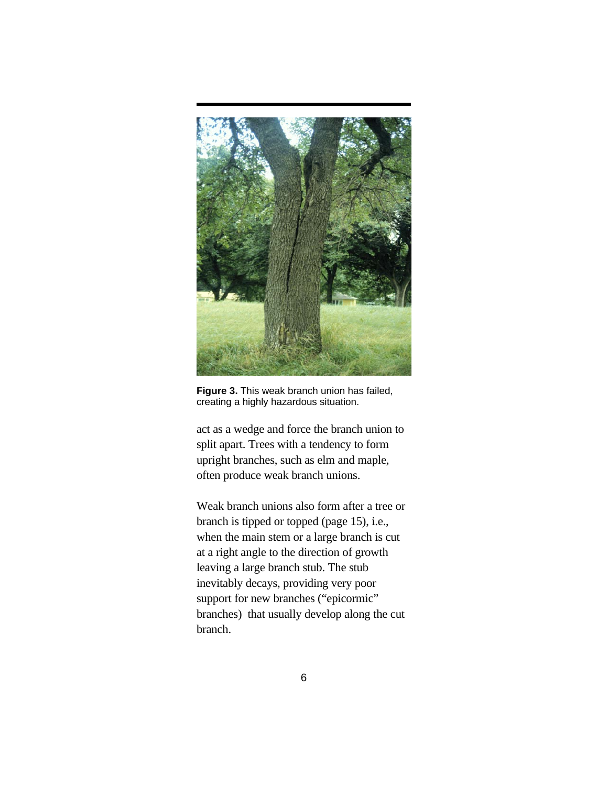

**Figure 3.** This weak branch union has failed, creating a highly hazardous situation.

act as a wedge and force the branch union to split apart. Trees with a tendency to form upright branches, such as elm and maple, often produce weak branch unions.

Weak branch unions also form after a tree or branch is tipped or topped (page 15), i.e., when the main stem or a large branch is cut at a right angle to the direction of growth leaving a large branch stub. The stub inevitably decays, providing very poor support for new branches ("epicormic" branches) that usually develop along the cut branch.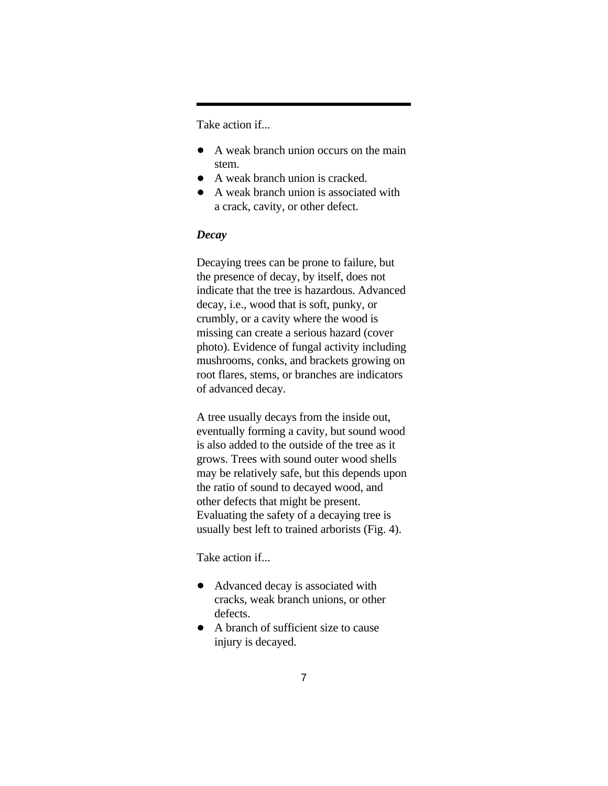Take action if...

- A weak branch union occurs on the main stem.
- A weak branch union is cracked.
- A weak branch union is associated with a crack, cavity, or other defect.

#### *Decay*

Decaying trees can be prone to failure, but the presence of decay, by itself, does not indicate that the tree is hazardous. Advanced decay, i.e., wood that is soft, punky, or crumbly, or a cavity where the wood is missing can create a serious hazard (cover photo). Evidence of fungal activity including mushrooms, conks, and brackets growing on root flares, stems, or branches are indicators of advanced decay.

A tree usually decays from the inside out, eventually forming a cavity, but sound wood is also added to the outside of the tree as it grows. Trees with sound outer wood shells may be relatively safe, but this depends upon the ratio of sound to decayed wood, and other defects that might be present. Evaluating the safety of a decaying tree is usually best left to trained arborists (Fig. 4).

Take action if...

- Advanced decay is associated with cracks, weak branch unions, or other defects.
- A branch of sufficient size to cause injury is decayed.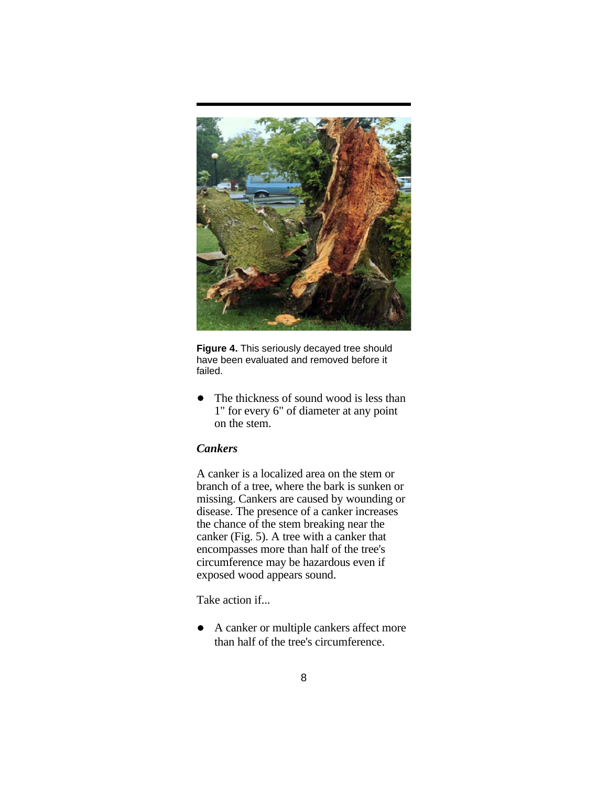

**Figure 4.** This seriously decayed tree should have been evaluated and removed before it failed.

The thickness of sound wood is less than  $\bullet$ 1" for every 6" of diameter at any point on the stem.

#### *Cankers*

A canker is a localized area on the stem or branch of a tree, where the bark is sunken or missing. Cankers are caused by wounding or disease. The presence of a canker increases the chance of the stem breaking near the canker (Fig. 5). A tree with a canker that encompasses more than half of the tree's circumference may be hazardous even if exposed wood appears sound.

Take action if...

A canker or multiple cankers affect more  $\bullet$ than half of the tree's circumference.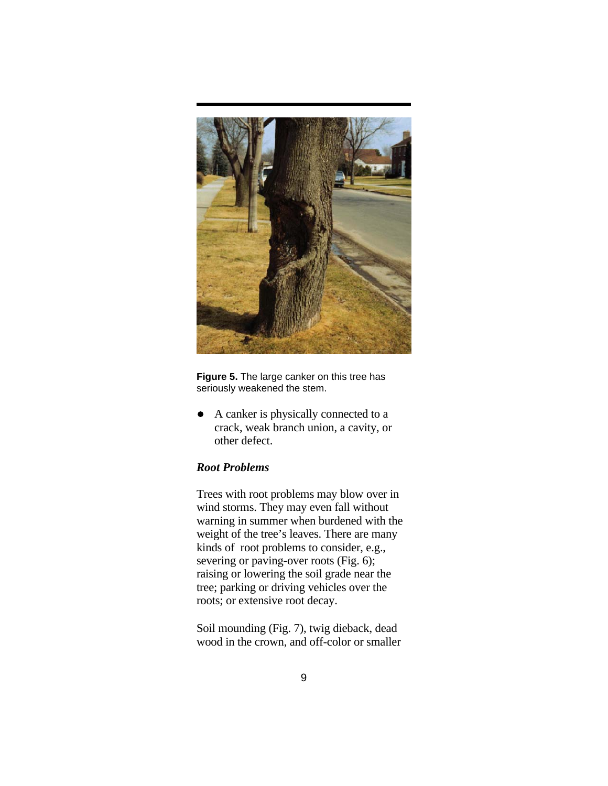

**Figure 5.** The large canker on this tree has seriously weakened the stem.

A canker is physically connected to a  $\bullet$ crack, weak branch union, a cavity, or other defect.

#### *Root Problems*

Trees with root problems may blow over in wind storms. They may even fall without warning in summer when burdened with the weight of the tree's leaves. There are many kinds of root problems to consider, e.g., severing or paving-over roots (Fig. 6); raising or lowering the soil grade near the tree; parking or driving vehicles over the roots; or extensive root decay.

Soil mounding (Fig. 7), twig dieback, dead wood in the crown, and off-color or smaller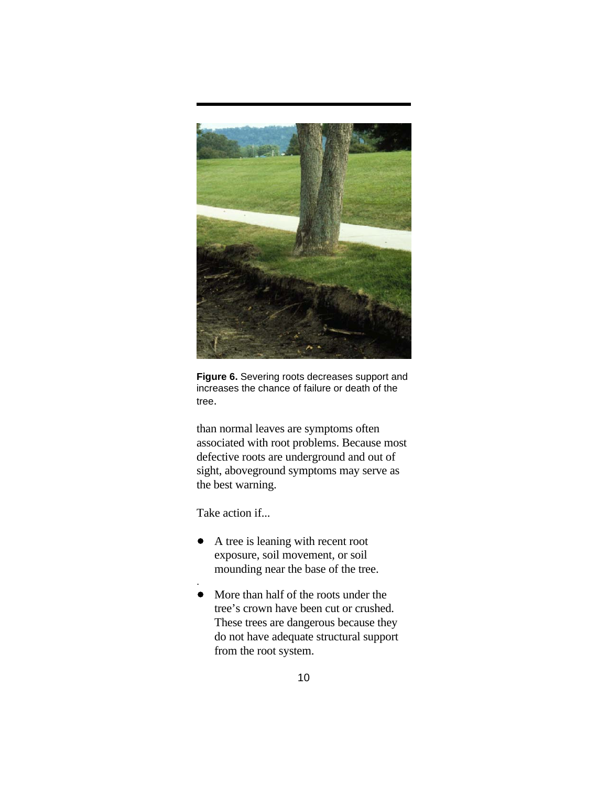

**Figure 6.** Severing roots decreases support and increases the chance of failure or death of the tree.

than normal leaves are symptoms often associated with root problems. Because most defective roots are underground and out of sight, aboveground symptoms may serve as the best warning.

Take action if...

.

- A tree is leaning with recent root  $\bullet$ exposure, soil movement, or soil mounding near the base of the tree.
- More than half of the roots under the tree's crown have been cut or crushed. These trees are dangerous because they do not have adequate structural support from the root system.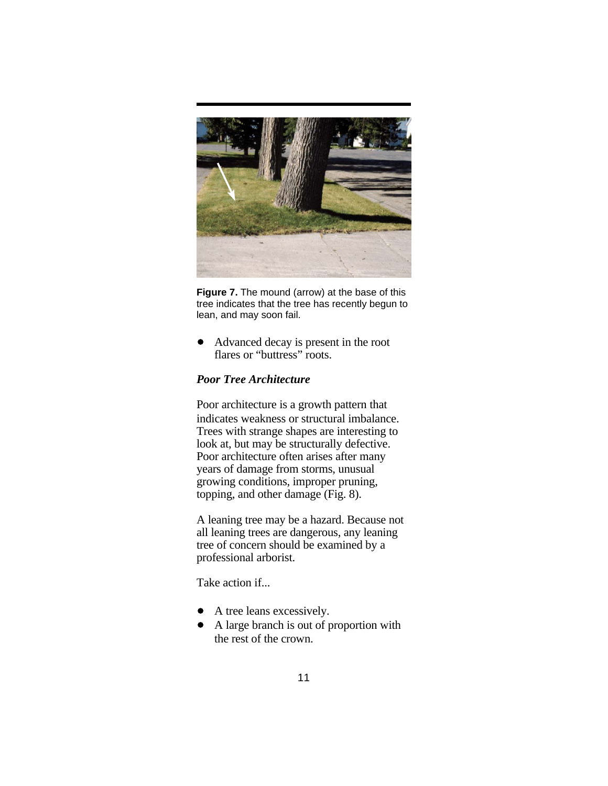

**Figure 7.** The mound (arrow) at the base of this tree indicates that the tree has recently begun to lean, and may soon fail.

Advanced decay is present in the root  $\bullet$ flares or "buttress" roots.

#### *Poor Tree Architecture*

Poor architecture is a growth pattern that indicates weakness or structural imbalance. Trees with strange shapes are interesting to look at, but may be structurally defective. Poor architecture often arises after many years of damage from storms, unusual growing conditions, improper pruning, topping, and other damage (Fig. 8).

A leaning tree may be a hazard. Because not all leaning trees are dangerous, any leaning tree of concern should be examined by a professional arborist.

Take action if...

- A tree leans excessively.
- A large branch is out of proportion with the rest of the crown.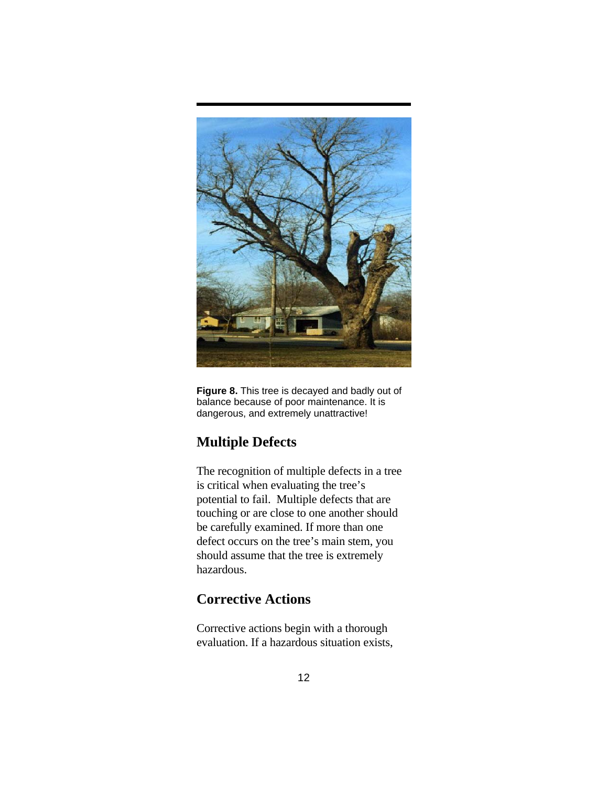

**Figure 8.** This tree is decayed and badly out of balance because of poor maintenance. It is dangerous, and extremely unattractive!

## **Multiple Defects**

The recognition of multiple defects in a tree is critical when evaluating the tree's potential to fail. Multiple defects that are touching or are close to one another should be carefully examined. If more than one defect occurs on the tree's main stem, you should assume that the tree is extremely hazardous.

## **Corrective Actions**

Corrective actions begin with a thorough evaluation. If a hazardous situation exists,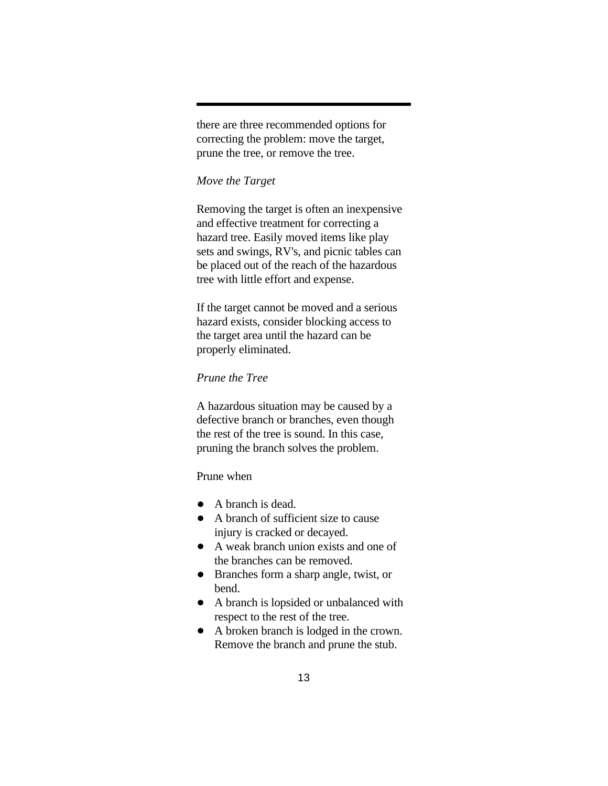there are three recommended options for correcting the problem: move the target, prune the tree, or remove the tree.

#### *Move the Target*

Removing the target is often an inexpensive and effective treatment for correcting a hazard tree. Easily moved items like play sets and swings, RV's, and picnic tables can be placed out of the reach of the hazardous tree with little effort and expense.

If the target cannot be moved and a serious hazard exists, consider blocking access to the target area until the hazard can be properly eliminated.

## *Prune the Tree*

A hazardous situation may be caused by a defective branch or branches, even though the rest of the tree is sound. In this case, pruning the branch solves the problem.

#### Prune when

- A branch is dead.
- A branch of sufficient size to cause injury is cracked or decayed.
- A weak branch union exists and one of the branches can be removed.
- Branches form a sharp angle, twist, or bend.
- A branch is lopsided or unbalanced with respect to the rest of the tree.
- A broken branch is lodged in the crown. Remove the branch and prune the stub.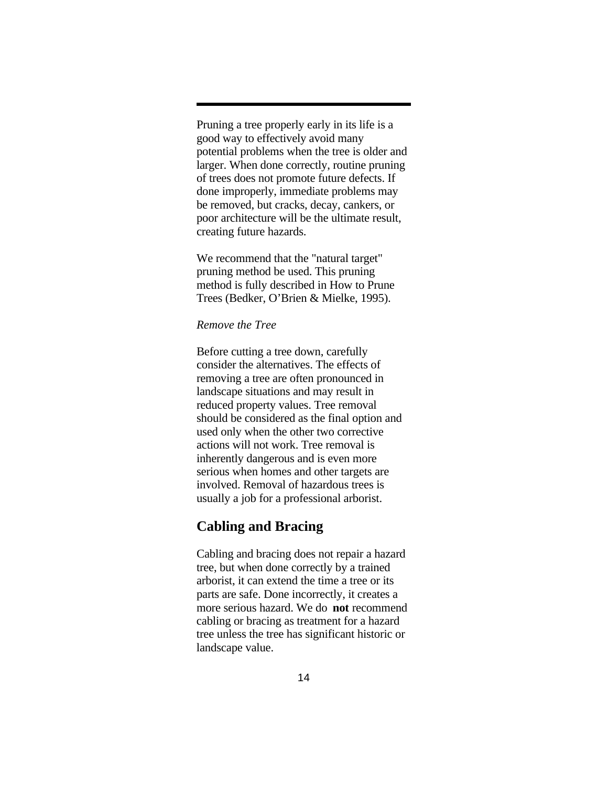Pruning a tree properly early in its life is a good way to effectively avoid many potential problems when the tree is older and larger. When done correctly, routine pruning of trees does not promote future defects. If done improperly, immediate problems may be removed, but cracks, decay, cankers, or poor architecture will be the ultimate result, creating future hazards.

We recommend that the "natural target" pruning method be used. This pruning method is fully described in How to Prune Trees (Bedker, O'Brien & Mielke, 1995).

#### *Remove the Tree*

Before cutting a tree down, carefully consider the alternatives. The effects of removing a tree are often pronounced in landscape situations and may result in reduced property values. Tree removal should be considered as the final option and used only when the other two corrective actions will not work. Tree removal is inherently dangerous and is even more serious when homes and other targets are involved. Removal of hazardous trees is usually a job for a professional arborist.

#### **Cabling and Bracing**

Cabling and bracing does not repair a hazard tree, but when done correctly by a trained arborist, it can extend the time a tree or its parts are safe. Done incorrectly, it creates a more serious hazard. We do **not** recommend cabling or bracing as treatment for a hazard tree unless the tree has significant historic or landscape value.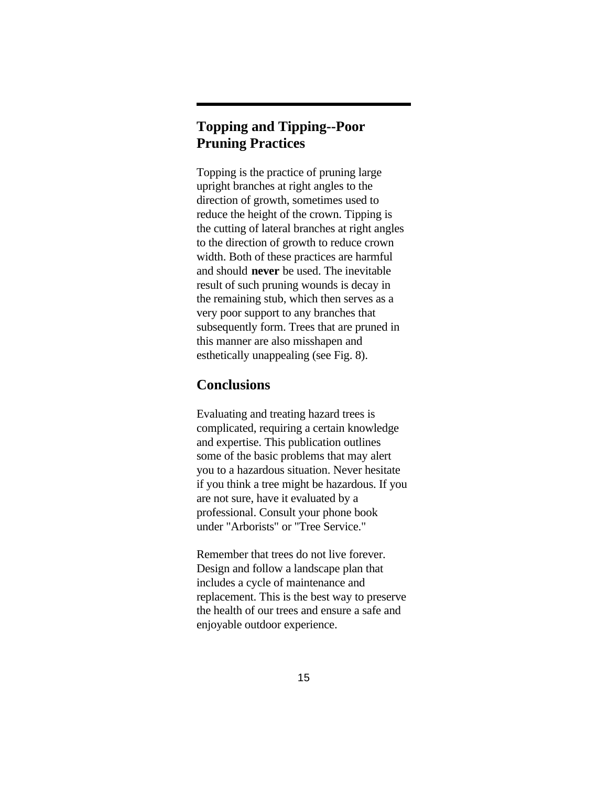## **Topping and Tipping--Poor Pruning Practices**

Topping is the practice of pruning large upright branches at right angles to the direction of growth, sometimes used to reduce the height of the crown. Tipping is the cutting of lateral branches at right angles to the direction of growth to reduce crown width. Both of these practices are harmful and should **never** be used. The inevitable result of such pruning wounds is decay in the remaining stub, which then serves as a very poor support to any branches that subsequently form. Trees that are pruned in this manner are also misshapen and esthetically unappealing (see Fig. 8).

## **Conclusions**

Evaluating and treating hazard trees is complicated, requiring a certain knowledge and expertise. This publication outlines some of the basic problems that may alert you to a hazardous situation. Never hesitate if you think a tree might be hazardous. If you are not sure, have it evaluated by a professional. Consult your phone book under "Arborists" or "Tree Service."

Remember that trees do not live forever. Design and follow a landscape plan that includes a cycle of maintenance and replacement. This is the best way to preserve the health of our trees and ensure a safe and enjoyable outdoor experience.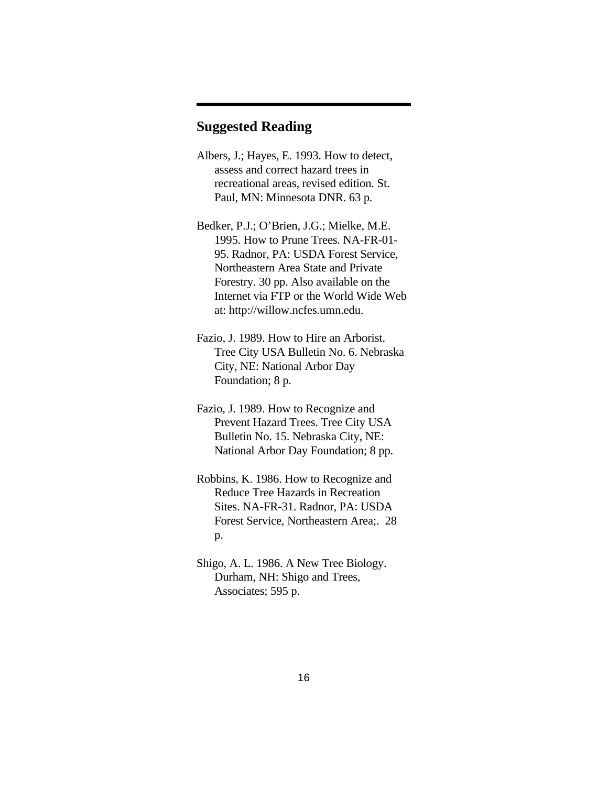## **Suggested Reading**

- Albers, J.; Hayes, E. 1993. How to detect, assess and correct hazard trees in recreational areas, revised edition. St. Paul, MN: Minnesota DNR. 63 p.
- Bedker, P.J.; O'Brien, J.G.; Mielke, M.E. 1995. How to Prune Trees. NA-FR-01- 95. Radnor, PA: USDA Forest Service, Northeastern Area State and Private Forestry. 30 pp. Also available on the Internet via FTP or the World Wide Web at: http://willow.ncfes.umn.edu.
- Fazio, J. 1989. How to Hire an Arborist. Tree City USA Bulletin No. 6. Nebraska City, NE: National Arbor Day Foundation; 8 p.
- Fazio, J. 1989. How to Recognize and Prevent Hazard Trees. Tree City USA Bulletin No. 15. Nebraska City, NE: National Arbor Day Foundation; 8 pp.
- Robbins, K. 1986. How to Recognize and Reduce Tree Hazards in Recreation Sites. NA-FR-31. Radnor, PA: USDA Forest Service, Northeastern Area;. 28 p.
- Shigo, A. L. 1986. A New Tree Biology. Durham, NH: Shigo and Trees, Associates; 595 p.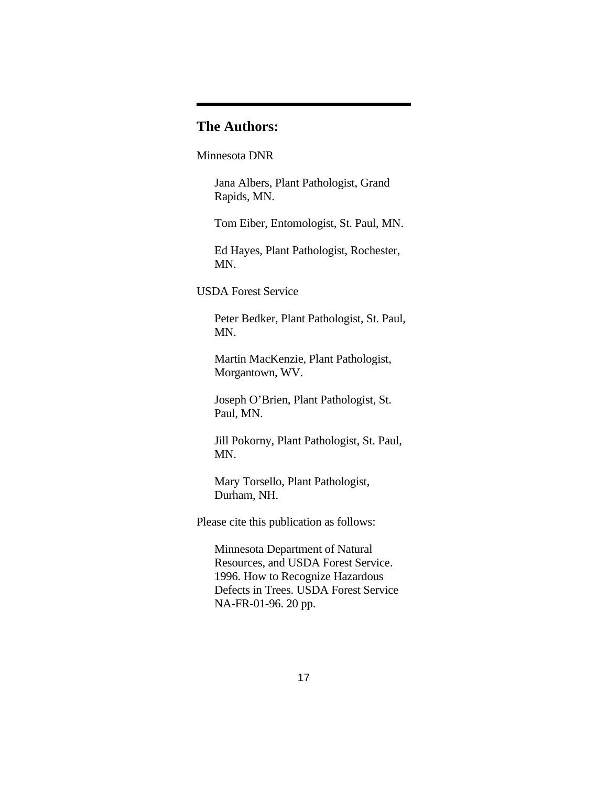## **The Authors:**

Minnesota DNR

Jana Albers, Plant Pathologist, Grand Rapids, MN.

Tom Eiber, Entomologist, St. Paul, MN.

Ed Hayes, Plant Pathologist, Rochester, MN.

USDA Forest Service

Peter Bedker, Plant Pathologist, St. Paul, MN.

Martin MacKenzie, Plant Pathologist, Morgantown, WV.

Joseph O'Brien, Plant Pathologist, St. Paul, MN.

Jill Pokorny, Plant Pathologist, St. Paul, MN.

Mary Torsello, Plant Pathologist, Durham, NH.

Please cite this publication as follows:

Minnesota Department of Natural Resources, and USDA Forest Service. 1996. How to Recognize Hazardous Defects in Trees. USDA Forest Service NA-FR-01-96. 20 pp.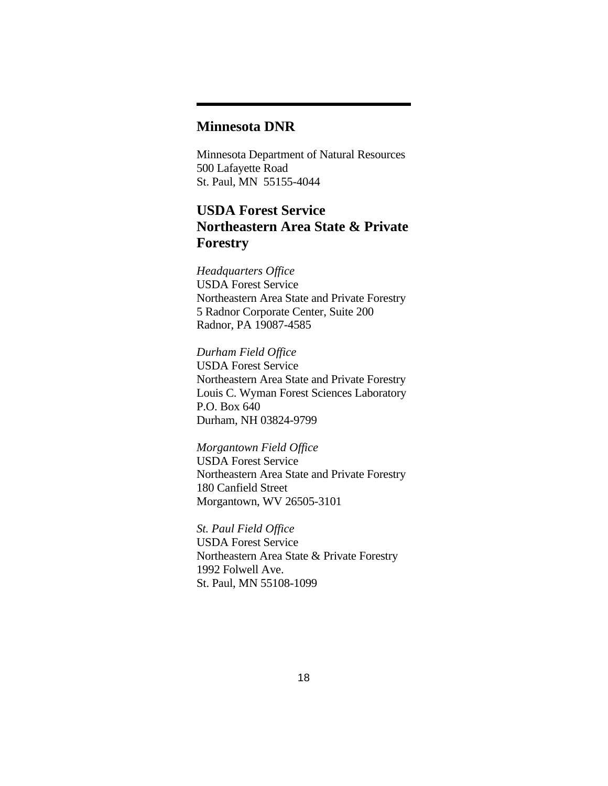## **Minnesota DNR**

Minnesota Department of Natural Resources 500 Lafayette Road St. Paul, MN 55155-4044

## **USDA Forest Service Northeastern Area State & Private Forestry**

*Headquarters Office* USDA Forest Service Northeastern Area State and Private Forestry 5 Radnor Corporate Center, Suite 200 Radnor, PA 19087-4585

*Durham Field Office* USDA Forest Service Northeastern Area State and Private Forestry Louis C. Wyman Forest Sciences Laboratory P.O. Box 640 Durham, NH 03824-9799

*Morgantown Field Office* USDA Forest Service Northeastern Area State and Private Forestry 180 Canfield Street Morgantown, WV 26505-3101

*St. Paul Field Office* USDA Forest Service Northeastern Area State & Private Forestry 1992 Folwell Ave. St. Paul, MN 55108-1099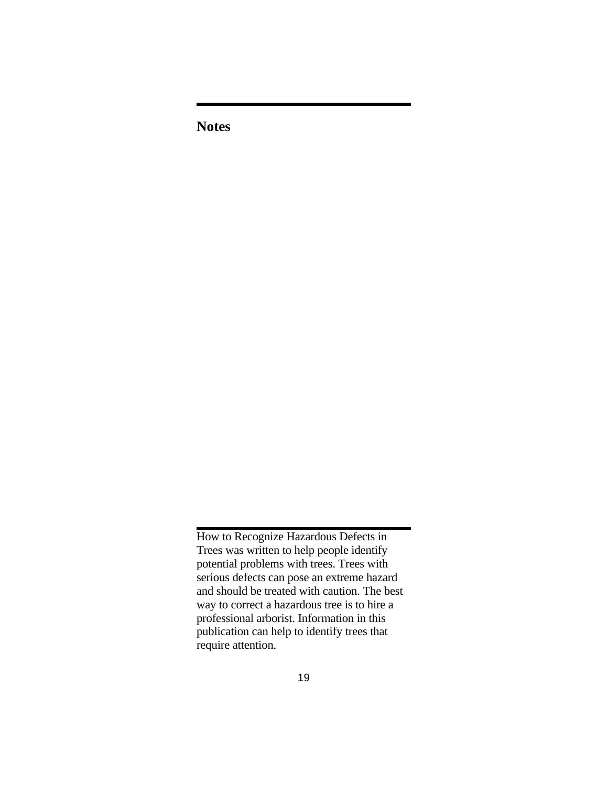**Notes**

How to Recognize Hazardous Defects in Trees was written to help people identify potential problems with trees. Trees with serious defects can pose an extreme hazard and should be treated with caution. The best way to correct a hazardous tree is to hire a professional arborist. Information in this publication can help to identify trees that require attention.